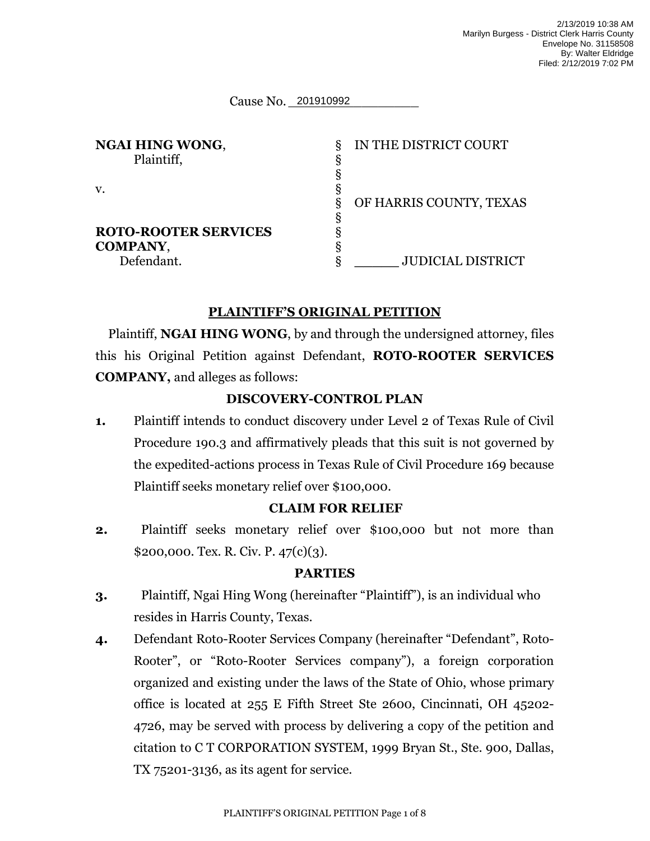Cause No. 201910992

| <b>NGAI HING WONG,</b><br>Plaintiff,           | δ | IN THE DISTRICT COURT    |
|------------------------------------------------|---|--------------------------|
| $V_{\star}$                                    | ξ | OF HARRIS COUNTY, TEXAS  |
| <b>ROTO-ROOTER SERVICES</b><br><b>COMPANY,</b> |   |                          |
| Defendant.                                     | δ | <b>JUDICIAL DISTRICT</b> |

## **PLAINTIFF'S ORIGINAL PETITION**

Plaintiff, **NGAI HING WONG**, by and through the undersigned attorney, files this his Original Petition against Defendant, **ROTO-ROOTER SERVICES COMPANY,** and alleges as follows:

#### **DISCOVERY-CONTROL PLAN**

**1.** Plaintiff intends to conduct discovery under Level 2 of Texas Rule of Civil Procedure 190.3 and affirmatively pleads that this suit is not governed by the expedited-actions process in Texas Rule of Civil Procedure 169 because Plaintiff seeks monetary relief over \$100,000.

## **CLAIM FOR RELIEF**

**2.** Plaintiff seeks monetary relief over \$100,000 but not more than \$200,000. Tex. R. Civ. P. 47(c)(3).

#### **PARTIES**

- **3.** Plaintiff, Ngai Hing Wong (hereinafter "Plaintiff"), is an individual who resides in Harris County, Texas.
- **4.** Defendant Roto-Rooter Services Company (hereinafter "Defendant", Roto-Rooter", or "Roto-Rooter Services company"), a foreign corporation organized and existing under the laws of the State of Ohio, whose primary office is located at 255 E Fifth Street Ste 2600, Cincinnati, OH 45202- 4726, may be served with process by delivering a copy of the petition and citation to C T CORPORATION SYSTEM, 1999 Bryan St., Ste. 900, Dallas, TX 75201-3136, as its agent for service.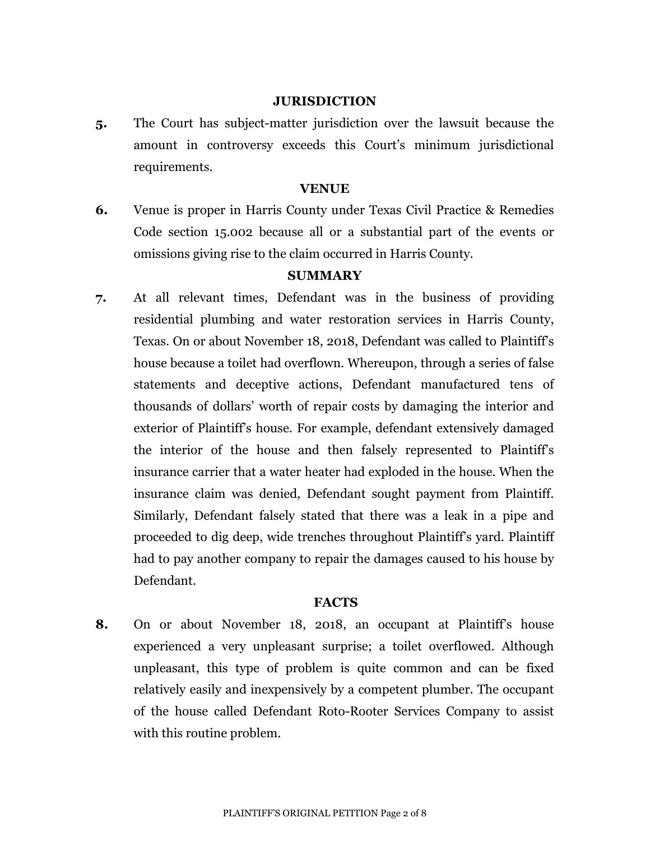#### **JURISDICTION**

**5.** The Court has subject-matter jurisdiction over the lawsuit because the amount in controversy exceeds this Court's minimum jurisdictional requirements.

#### **VENUE**

**6.** Venue is proper in Harris County under Texas Civil Practice & Remedies Code section 15.002 because all or a substantial part of the events or omissions giving rise to the claim occurred in Harris County.

#### **SUMMARY**

**7.** At all relevant times, Defendant was in the business of providing residential plumbing and water restoration services in Harris County, Texas. On or about November 18, 2018, Defendant was called to Plaintiff's house because a toilet had overflown. Whereupon, through a series of false statements and deceptive actions, Defendant manufactured tens of thousands of dollars' worth of repair costs by damaging the interior and exterior of Plaintiff's house. For example, defendant extensively damaged the interior of the house and then falsely represented to Plaintiff's insurance carrier that a water heater had exploded in the house. When the insurance claim was denied, Defendant sought payment from Plaintiff. Similarly, Defendant falsely stated that there was a leak in a pipe and proceeded to dig deep, wide trenches throughout Plaintiff's yard. Plaintiff had to pay another company to repair the damages caused to his house by Defendant.

#### **FACTS**

**8.** On or about November 18, 2018, an occupant at Plaintiff's house experienced a very unpleasant surprise; a toilet overflowed. Although unpleasant, this type of problem is quite common and can be fixed relatively easily and inexpensively by a competent plumber. The occupant of the house called Defendant Roto-Rooter Services Company to assist with this routine problem.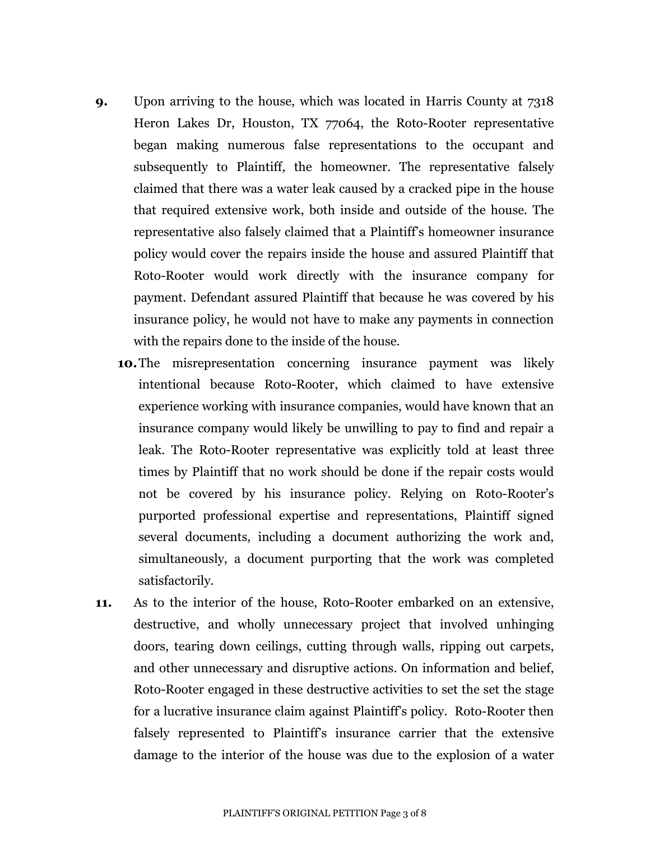- **9.** Upon arriving to the house, which was located in Harris County at 7318 Heron Lakes Dr, Houston, TX 77064, the Roto-Rooter representative began making numerous false representations to the occupant and subsequently to Plaintiff, the homeowner. The representative falsely claimed that there was a water leak caused by a cracked pipe in the house that required extensive work, both inside and outside of the house. The representative also falsely claimed that a Plaintiff's homeowner insurance policy would cover the repairs inside the house and assured Plaintiff that Roto-Rooter would work directly with the insurance company for payment. Defendant assured Plaintiff that because he was covered by his insurance policy, he would not have to make any payments in connection with the repairs done to the inside of the house.
	- **10.**The misrepresentation concerning insurance payment was likely intentional because Roto-Rooter, which claimed to have extensive experience working with insurance companies, would have known that an insurance company would likely be unwilling to pay to find and repair a leak. The Roto-Rooter representative was explicitly told at least three times by Plaintiff that no work should be done if the repair costs would not be covered by his insurance policy. Relying on Roto-Rooter's purported professional expertise and representations, Plaintiff signed several documents, including a document authorizing the work and, simultaneously, a document purporting that the work was completed satisfactorily.
- **11.** As to the interior of the house, Roto-Rooter embarked on an extensive, destructive, and wholly unnecessary project that involved unhinging doors, tearing down ceilings, cutting through walls, ripping out carpets, and other unnecessary and disruptive actions. On information and belief, Roto-Rooter engaged in these destructive activities to set the set the stage for a lucrative insurance claim against Plaintiff's policy. Roto-Rooter then falsely represented to Plaintiff's insurance carrier that the extensive damage to the interior of the house was due to the explosion of a water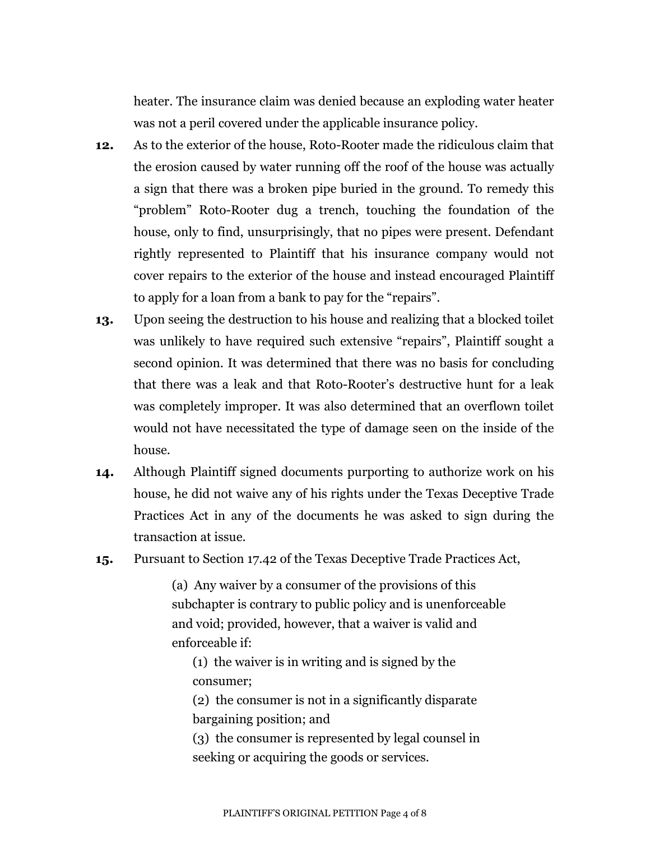heater. The insurance claim was denied because an exploding water heater was not a peril covered under the applicable insurance policy.

- **12.** As to the exterior of the house, Roto-Rooter made the ridiculous claim that the erosion caused by water running off the roof of the house was actually a sign that there was a broken pipe buried in the ground. To remedy this "problem" Roto-Rooter dug a trench, touching the foundation of the house, only to find, unsurprisingly, that no pipes were present. Defendant rightly represented to Plaintiff that his insurance company would not cover repairs to the exterior of the house and instead encouraged Plaintiff to apply for a loan from a bank to pay for the "repairs".
- **13.** Upon seeing the destruction to his house and realizing that a blocked toilet was unlikely to have required such extensive "repairs", Plaintiff sought a second opinion. It was determined that there was no basis for concluding that there was a leak and that Roto-Rooter's destructive hunt for a leak was completely improper. It was also determined that an overflown toilet would not have necessitated the type of damage seen on the inside of the house.
- **14.** Although Plaintiff signed documents purporting to authorize work on his house, he did not waive any of his rights under the Texas Deceptive Trade Practices Act in any of the documents he was asked to sign during the transaction at issue.
- **15.** Pursuant to Section 17.42 of the Texas Deceptive Trade Practices Act,

(a) Any waiver by a consumer of the provisions of this subchapter is contrary to public policy and is unenforceable and void; provided, however, that a waiver is valid and enforceable if:

(1) the waiver is in writing and is signed by the consumer;

(2) the consumer is not in a significantly disparate bargaining position; and

(3) the consumer is represented by legal counsel in seeking or acquiring the goods or services.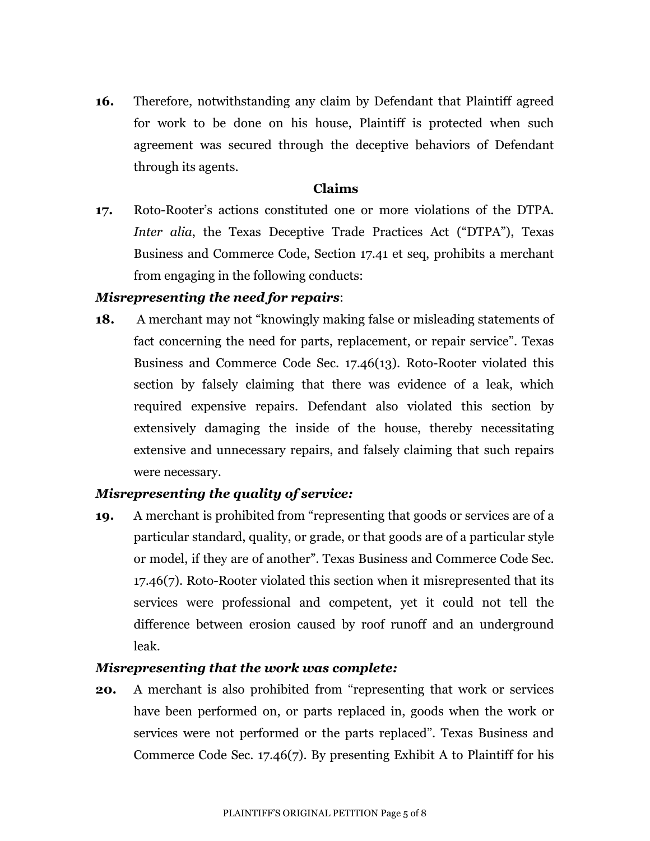**16.** Therefore, notwithstanding any claim by Defendant that Plaintiff agreed for work to be done on his house, Plaintiff is protected when such agreement was secured through the deceptive behaviors of Defendant through its agents.

#### **Claims**

**17.** Roto-Rooter's actions constituted one or more violations of the DTPA. *Inter alia*, the Texas Deceptive Trade Practices Act ("DTPA"), Texas Business and Commerce Code, Section 17.41 et seq, prohibits a merchant from engaging in the following conducts:

## *Misrepresenting the need for repairs*:

**18.** A merchant may not "knowingly making false or misleading statements of fact concerning the need for parts, replacement, or repair service". Texas Business and Commerce Code Sec. 17.46(13). Roto-Rooter violated this section by falsely claiming that there was evidence of a leak, which required expensive repairs. Defendant also violated this section by extensively damaging the inside of the house, thereby necessitating extensive and unnecessary repairs, and falsely claiming that such repairs were necessary.

## *Misrepresenting the quality of service:*

**19.** A merchant is prohibited from "representing that goods or services are of a particular standard, quality, or grade, or that goods are of a particular style or model, if they are of another". Texas Business and Commerce Code Sec. 17.46(7). Roto-Rooter violated this section when it misrepresented that its services were professional and competent, yet it could not tell the difference between erosion caused by roof runoff and an underground leak.

## *Misrepresenting that the work was complete:*

**20.** A merchant is also prohibited from "representing that work or services have been performed on, or parts replaced in, goods when the work or services were not performed or the parts replaced". Texas Business and Commerce Code Sec. 17.46(7). By presenting Exhibit A to Plaintiff for his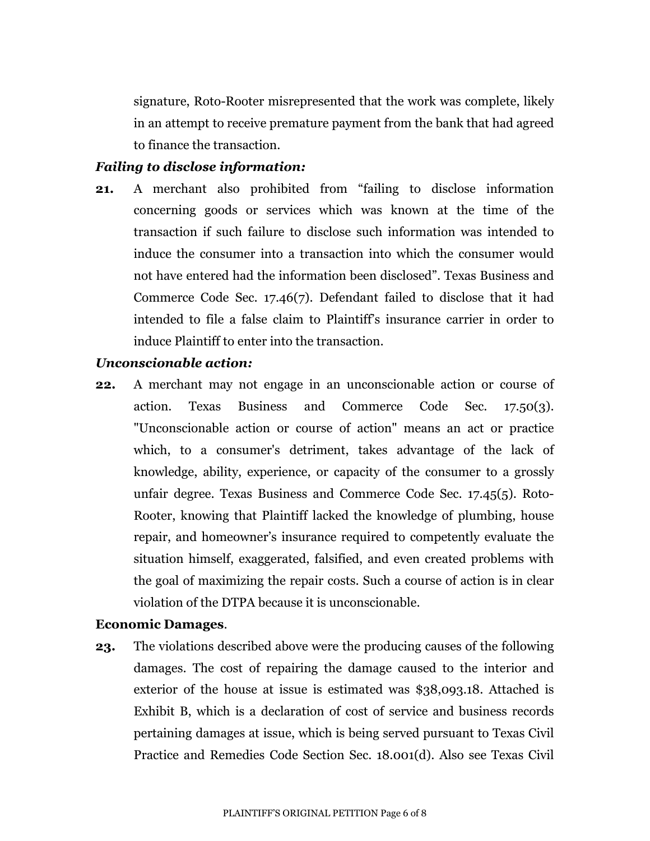signature, Roto-Rooter misrepresented that the work was complete, likely in an attempt to receive premature payment from the bank that had agreed to finance the transaction.

### *Failing to disclose information:*

**21.** A merchant also prohibited from "failing to disclose information concerning goods or services which was known at the time of the transaction if such failure to disclose such information was intended to induce the consumer into a transaction into which the consumer would not have entered had the information been disclosed". Texas Business and Commerce Code Sec. 17.46(7). Defendant failed to disclose that it had intended to file a false claim to Plaintiff's insurance carrier in order to induce Plaintiff to enter into the transaction.

#### *Unconscionable action:*

**22.** A merchant may not engage in an unconscionable action or course of action. Texas Business and Commerce Code Sec. 17.50(3). "Unconscionable action or course of action" means an act or practice which, to a consumer's detriment, takes advantage of the lack of knowledge, ability, experience, or capacity of the consumer to a grossly unfair degree. Texas Business and Commerce Code Sec. 17.45(5). Roto-Rooter, knowing that Plaintiff lacked the knowledge of plumbing, house repair, and homeowner's insurance required to competently evaluate the situation himself, exaggerated, falsified, and even created problems with the goal of maximizing the repair costs. Such a course of action is in clear violation of the DTPA because it is unconscionable.

#### **Economic Damages**.

**23.** The violations described above were the producing causes of the following damages. The cost of repairing the damage caused to the interior and exterior of the house at issue is estimated was \$38,093.18. Attached is Exhibit B, which is a declaration of cost of service and business records pertaining damages at issue, which is being served pursuant to Texas Civil Practice and Remedies Code Section Sec. 18.001(d). Also see Texas Civil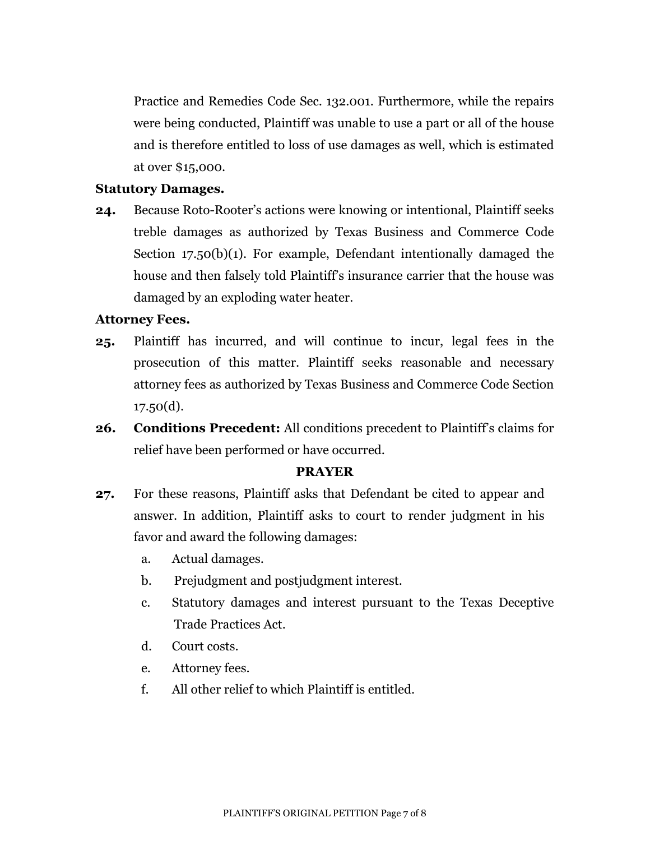Practice and Remedies Code Sec. 132.001. Furthermore, while the repairs were being conducted, Plaintiff was unable to use a part or all of the house and is therefore entitled to loss of use damages as well, which is estimated at over \$15,000.

#### **Statutory Damages.**

**24.** Because Roto-Rooter's actions were knowing or intentional, Plaintiff seeks treble damages as authorized by Texas Business and Commerce Code Section 17.50(b)(1). For example, Defendant intentionally damaged the house and then falsely told Plaintiff's insurance carrier that the house was damaged by an exploding water heater.

#### **Attorney Fees.**

- **25.** Plaintiff has incurred, and will continue to incur, legal fees in the prosecution of this matter. Plaintiff seeks reasonable and necessary attorney fees as authorized by Texas Business and Commerce Code Section  $17.50(d)$ .
- **26. Conditions Precedent:** All conditions precedent to Plaintiff's claims for relief have been performed or have occurred.

#### **PRAYER**

- **27.** For these reasons, Plaintiff asks that Defendant be cited to appear and answer. In addition, Plaintiff asks to court to render judgment in his favor and award the following damages:
	- a. Actual damages.
	- b. Prejudgment and postjudgment interest.
	- c. Statutory damages and interest pursuant to the Texas Deceptive Trade Practices Act.
	- d. Court costs.
	- e. Attorney fees.
	- f. All other relief to which Plaintiff is entitled.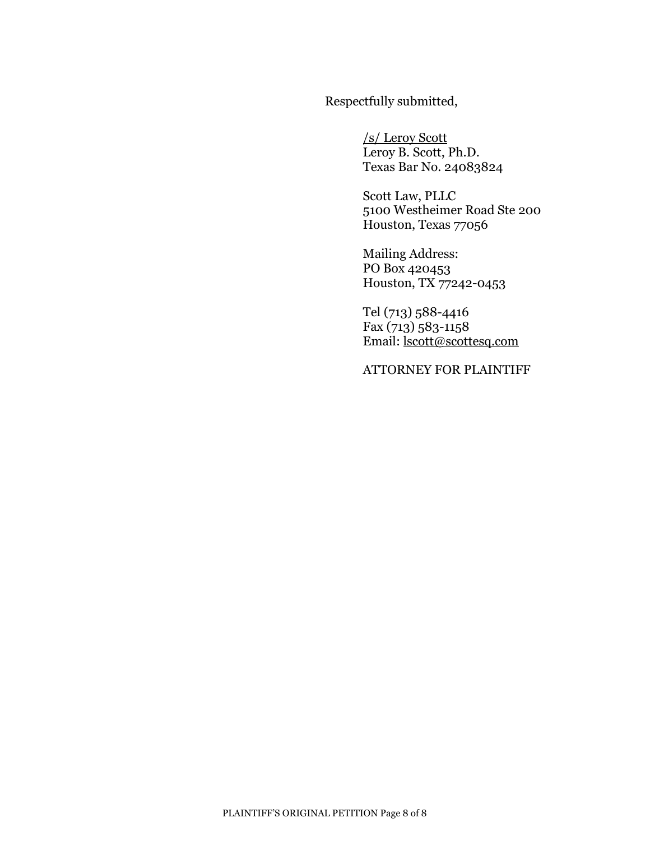Respectfully submitted,

/s/ Leroy Scott Leroy B. Scott, Ph.D. Texas Bar No. 24083824

Scott Law, PLLC 5100 Westheimer Road Ste 200 Houston, Texas 77056

Mailing Address: PO Box 420453 Houston, TX 77242-0453

Tel (713) 588-4416 Fax (713) 583-1158 Email: [lscott@scottesq.com](mailto:lscott@scottesq.com)

ATTORNEY FOR PLAINTIFF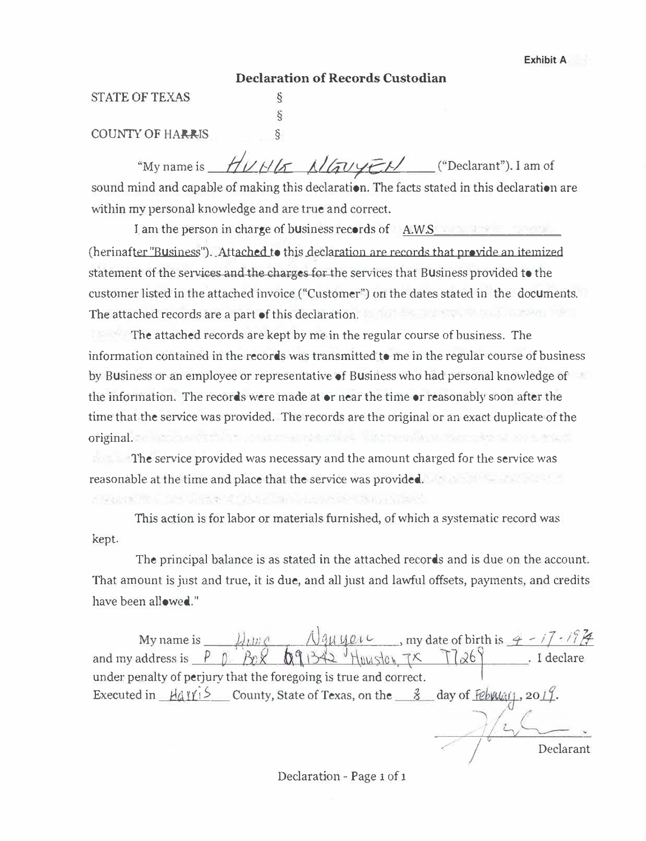*,\_/ j* Declarant

#### **Declaration of Records Custodian**

§

#### STATE OF TEXAS

#### COUNTY OF HARRIS §

"My name is *HUHK Allauger* ("Declarant"). I am of sound mind and capable of making this declaration. The facts stated in this declaration are within my personal knowledge and are true and correct.

I am the person in charge of business records of A.W.S\_\_\_\_\_\_\_\_\_\_\_\_\_\_\_\_\_\_\_\_\_\_\_\_\_\_\_ (herinafter "Business"). Attached to this declaration are records that provide an itemized statement of the services and the charges for the services that Business provided to the customer listed in the attached invoice ("Customer") on the dates stated in the documents. The attached records are a part of this declaration. The attached records are a part of this declaration.

The attached records are kept by me in the regular course of business. The information contained in the records was transmitted to me in the regular course of business by Business or an employee or representative of Business who had personal knowledge of the information. The records were made at or near the time or reasonably soon after the time that the service was provided. The records are the original or an exact duplicate of the original.

The service provided was necessary and the amount charged for the service was reasonable at the time and place that the service was provided.

This action is for labor or materials furnished, of which a systematic record was kept.

The principal balance is as stated in the attached records and is due on the account. That amount is just and true, it is due, and all just and lawful offsets, payments, and credits have been allowed."

My name is  $\frac{\mu_1 \mu_2}{\mu_2 \mu_3}$   $\frac{\mu_3 \mu_4 \mu_5}{\mu_3 \mu_4}$ , my date of birth is  $\frac{4 - i7 - i7}{\mu_3}$ and my address is  $\begin{array}{c|c|c|c|c|c|c|c} \hline \end{array}$  Bo  $\begin{array}{c|c|c|c} \hline \end{array}$  Reclare . I declare under penalty of perjury that the foregoing is true and correct. Executed in *Havri* S County, State of Texas, on the <u>\$</u> day of February, 2017.

Declaration - Page 1 of 1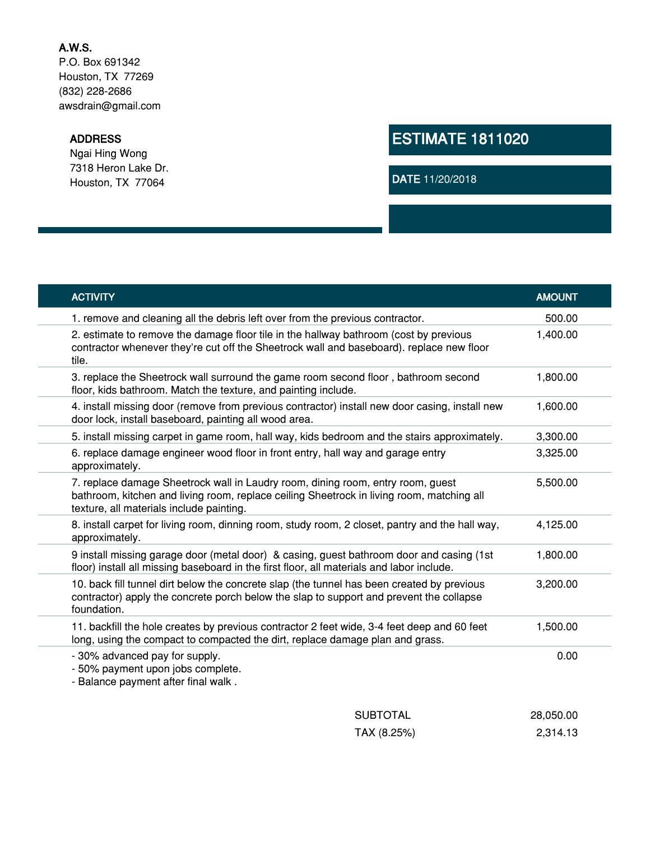## **A.W.S.**

P.O. Box 691342 Houston, TX 77269 (832) 228-2686 awsdrain@gmail.com

#### **ADDRESS**

Ngai Hing Wong 7318 Heron Lake Dr. Houston, TX 77064

# **ESTIMATE 1811020**

**DATE** 11/20/2018

| <b>ACTIVITY</b>                                                                                                                                                                                                          | <b>AMOUNT</b> |  |
|--------------------------------------------------------------------------------------------------------------------------------------------------------------------------------------------------------------------------|---------------|--|
| 1. remove and cleaning all the debris left over from the previous contractor.                                                                                                                                            | 500.00        |  |
| 2. estimate to remove the damage floor tile in the hallway bathroom (cost by previous<br>contractor whenever they're cut off the Sheetrock wall and baseboard). replace new floor<br>tile.                               | 1,400.00      |  |
| 3. replace the Sheetrock wall surround the game room second floor, bathroom second<br>floor, kids bathroom. Match the texture, and painting include.                                                                     | 1,800.00      |  |
| 4. install missing door (remove from previous contractor) install new door casing, install new<br>door lock, install baseboard, painting all wood area.                                                                  | 1,600.00      |  |
| 5. install missing carpet in game room, hall way, kids bedroom and the stairs approximately.                                                                                                                             | 3,300.00      |  |
| 6. replace damage engineer wood floor in front entry, hall way and garage entry<br>approximately.                                                                                                                        | 3,325.00      |  |
| 7. replace damage Sheetrock wall in Laudry room, dining room, entry room, guest<br>bathroom, kitchen and living room, replace ceiling Sheetrock in living room, matching all<br>texture, all materials include painting. | 5,500.00      |  |
| 8. install carpet for living room, dinning room, study room, 2 closet, pantry and the hall way,<br>approximately.                                                                                                        | 4,125.00      |  |
| 9 install missing garage door (metal door) & casing, guest bathroom door and casing (1st<br>floor) install all missing baseboard in the first floor, all materials and labor include.                                    | 1,800.00      |  |
| 10. back fill tunnel dirt below the concrete slap (the tunnel has been created by previous<br>contractor) apply the concrete porch below the slap to support and prevent the collapse<br>foundation.                     | 3,200.00      |  |
| 11. backfill the hole creates by previous contractor 2 feet wide, 3-4 feet deep and 60 feet<br>long, using the compact to compacted the dirt, replace damage plan and grass.                                             | 1,500.00      |  |
| - 30% advanced pay for supply.<br>- 50% payment upon jobs complete.<br>- Balance payment after final walk.                                                                                                               | 0.00          |  |
| <b>SUBTOTAL</b>                                                                                                                                                                                                          | 28,050.00     |  |
| TAX (8.25%)                                                                                                                                                                                                              | 2,314.13      |  |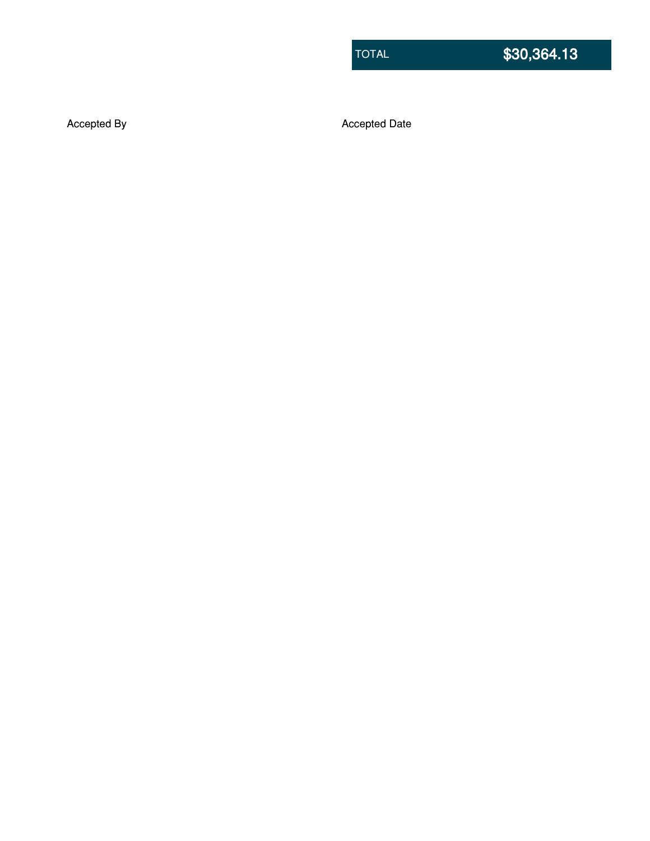Accepted By **Accepted Date**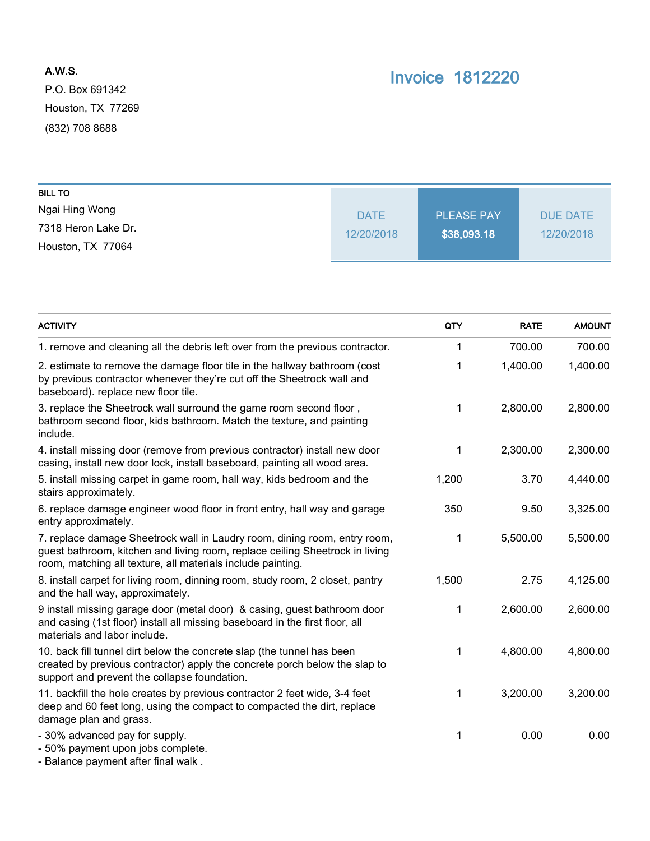# **A.W.S.**

P.O. Box 691342 Houston, TX 77269 (832) 708 8688

# **Invoice 1812220**

| <b>BILL TO</b>      |             |                   |            |
|---------------------|-------------|-------------------|------------|
| Ngai Hing Wong      | <b>DATE</b> | <b>PLEASE PAY</b> | DUE DATE   |
| 7318 Heron Lake Dr. | 12/20/2018  | \$38,093.18       | 12/20/2018 |
| Houston, TX 77064   |             |                   |            |

| <b>ACTIVITY</b>                                                                                                                                                                                                          | QTY   | <b>RATE</b> | <b>AMOUNT</b> |
|--------------------------------------------------------------------------------------------------------------------------------------------------------------------------------------------------------------------------|-------|-------------|---------------|
| 1. remove and cleaning all the debris left over from the previous contractor.                                                                                                                                            | 1     | 700.00      | 700.00        |
| 2. estimate to remove the damage floor tile in the hallway bathroom (cost<br>by previous contractor whenever they're cut off the Sheetrock wall and<br>baseboard). replace new floor tile.                               | 1     | 1,400.00    | 1,400.00      |
| 3. replace the Sheetrock wall surround the game room second floor,<br>bathroom second floor, kids bathroom. Match the texture, and painting<br>include.                                                                  | 1     | 2,800.00    | 2,800.00      |
| 4. install missing door (remove from previous contractor) install new door<br>casing, install new door lock, install baseboard, painting all wood area.                                                                  | 1     | 2,300.00    | 2,300.00      |
| 5. install missing carpet in game room, hall way, kids bedroom and the<br>stairs approximately.                                                                                                                          | 1,200 | 3.70        | 4,440.00      |
| 6. replace damage engineer wood floor in front entry, hall way and garage<br>entry approximately.                                                                                                                        | 350   | 9.50        | 3,325.00      |
| 7. replace damage Sheetrock wall in Laudry room, dining room, entry room,<br>guest bathroom, kitchen and living room, replace ceiling Sheetrock in living<br>room, matching all texture, all materials include painting. | 1     | 5,500.00    | 5,500.00      |
| 8. install carpet for living room, dinning room, study room, 2 closet, pantry<br>and the hall way, approximately.                                                                                                        | 1,500 | 2.75        | 4,125.00      |
| 9 install missing garage door (metal door) & casing, guest bathroom door<br>and casing (1st floor) install all missing baseboard in the first floor, all<br>materials and labor include.                                 | 1     | 2,600.00    | 2,600.00      |
| 10. back fill tunnel dirt below the concrete slap (the tunnel has been<br>created by previous contractor) apply the concrete porch below the slap to<br>support and prevent the collapse foundation.                     | 1     | 4,800.00    | 4,800.00      |
| 11. backfill the hole creates by previous contractor 2 feet wide, 3-4 feet<br>deep and 60 feet long, using the compact to compacted the dirt, replace<br>damage plan and grass.                                          | 1     | 3,200.00    | 3,200.00      |
| - 30% advanced pay for supply.<br>- 50% payment upon jobs complete.<br>- Balance payment after final walk.                                                                                                               | 1     | 0.00        | 0.00          |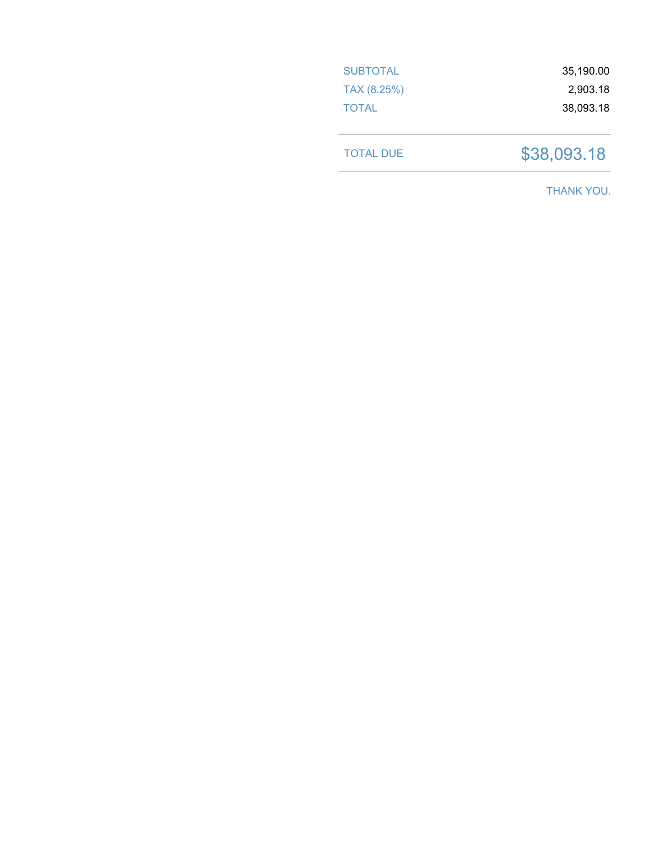| <b>SUBTOTAL</b> | 35,190.00 |
|-----------------|-----------|
| TAX (8.25%)     | 2,903.18  |
| <b>TOTAL</b>    | 38,093.18 |
|                 |           |

TOTAL DUE \$38,093.18

THANK YOU.